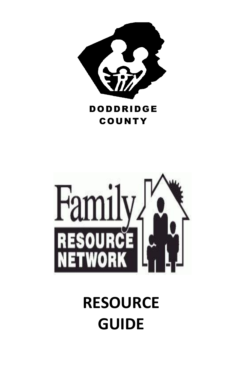

# DODDRIDGE COUNTY



# **RESOURCE GUIDE**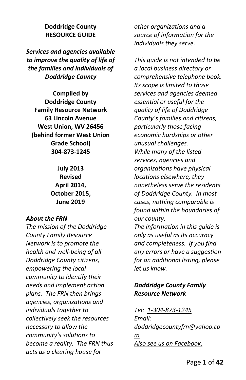## **Doddridge County RESOURCE GUIDE**

*Services and agencies available to improve the quality of life of the families and individuals of Doddridge County*

**Compiled by Doddridge County Family Resource Network 63 Lincoln Avenue West Union, WV 26456 (behind former West Union Grade School) 304-873-1245**

> **July 2013 Revised April 2014, October 2015, June 2019**

#### *About the FRN*

*The mission of the Doddridge County Family Resource Network is to promote the health and well-being of all Doddridge County citizens, empowering the local community to identify their needs and implement action plans. The FRN then brings agencies, organizations and individuals together to collectively seek the resources necessary to allow the community's solutions to become a reality. The FRN thus acts as a clearing house for* 

*other organizations and a source of information for the individuals they serve.*

*This guide is not intended to be a local business directory or comprehensive telephone book. Its scope is limited to those services and agencies deemed essential or useful for the quality of life of Doddridge County's families and citizens, particularly those facing economic hardships or other unusual challenges. While many of the listed services, agencies and organizations have physical locations elsewhere, they nonetheless serve the residents of Doddridge County. In most cases, nothing comparable is found within the boundaries of our county. The information in this guide is only as useful as its accuracy* 

*and completeness. If you find any errors or have a suggestion for an additional listing, please let us know.*

## *Doddridge County Family Resource Network*

*Tel: 1-304-873-1245 Email: [doddridgecountyfrn@yahoo.co](mailto:doddridgecountyfrn@yahoo.com) [m](mailto:doddridgecountyfrn@yahoo.com) Also see us on Facebook.*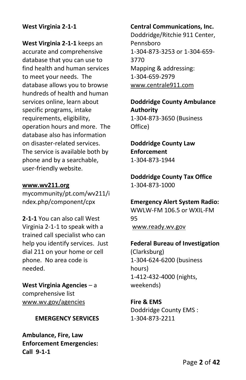## **West Virginia 2-1-1**

**West Virginia 2-1-1** keeps an accurate and comprehensive database that you can use to find health and human services to meet your needs. The database allows you to browse hundreds of health and human services online, learn about specific programs, intake requirements, eligibility, operation hours and more. The database also has information on disaster-related services. The service is available both by phone and by a searchable, user-friendly website.

#### **[www.wv211.org](http://www.wv211.org/)**

mycommunity/pt.com/wv211/i ndex.php/component/cpx

**2-1-1** You can also call West Virginia 2-1-1 to speak with a trained call specialist who can help you identify services. Just dial 211 on your home or cell phone. No area code is needed.

**West Virginia Agencies** – a comprehensive list [www.wv.gov/agencies](http://www.wv.gov/agencies)

## **EMERGENCY SERVICES**

**Ambulance, Fire, Law Enforcement Emergencies: Call 9-1-1**

#### **Central Communications, Inc.**

Doddridge/Ritchie 911 Center, Pennsboro 1-304-873-3253 or 1-304-659- 3770 Mapping & addressing: 1-304-659-2979 [www.centrale911.com](http://www.centrale911.com/)

**Doddridge County Ambulance Authority** 1-304-873-3650 (Business Office)

**Doddridge County Law Enforcement** 1-304-873-1944

**Doddridge County Tax Office** 1-304-873-1000

**Emergency Alert System Radio:** WWLW-FM 106.5 or WXIL-FM 95 [www.ready.wv.gov](http://www.ready.wv.gov/)

#### **Federal Bureau of Investigation**

(Clarksburg) 1-304-624-6200 (business hours) 1-412-432-4000 (nights, weekends)

**Fire & EMS** Doddridge County EMS : 1-304-873-2211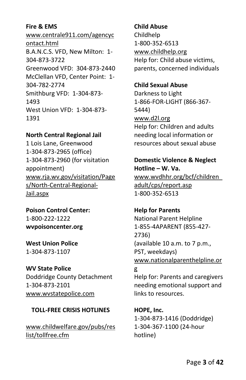## **Fire & EMS**

www.centrale911.com/agencyc ontact.html B.A.N.C.S. VFD, New Milton: 1- 304-873-3722 Greenwood VFD: 304-873-2440 McClellan VFD, Center Point: 1- 304-782-2774 Smithburg VFD: 1-304-873- 1493 West Union VFD: 1-304-873- 1391

## **North Central Regional Jail**

1 Lois Lane, Greenwood 1-304-873-2965 (office) 1-304-873-2960 (for visitation appointment) [www.rja.wv.gov/visitation/Page](http://www.rja.wv.gov/visitation/Pages/North-Central-Regional-Jail.aspx) [s/North-Central-Regional-](http://www.rja.wv.gov/visitation/Pages/North-Central-Regional-Jail.aspx)[Jail.aspx](http://www.rja.wv.gov/visitation/Pages/North-Central-Regional-Jail.aspx)

**Poison Control Center:** 1-800-222-1222 **wvpoisoncenter.org**

**West Union Police** 1-304-873-1107

**WV State Police** Doddridge County Detachment 1-304-873-2101 [www.wvstatepolice.com](http://www.wvstatepolice.com/)

## **TOLL-FREE CRISIS HOTLINES**

[www.childwelfare.gov/pubs/res](http://www.childwelfare.gov/pubs/reslist/tollfree.cfm) [list/tollfree.cfm](http://www.childwelfare.gov/pubs/reslist/tollfree.cfm)

**Child Abuse** Childhelp 1-800-352-6513 [www.childhelp.org](http://www.childhelp.org/) Help for: Child abuse victims, parents, concerned individuals

## **Child Sexual Abuse**

Darkness to Light 1-866-FOR-LIGHT (866-367- 5444) [www.d2l.org](http://www.d2l.org/) Help for: Children and adults needing local information or resources about sexual abuse

## **Domestic Violence & Neglect Hotline – W. Va.**

[www.wvdhhr.org/bcf/children\\_](http://www.wvdhhr.org/bcf/children_adult/cps/report.asp) [adult/cps/report.asp](http://www.wvdhhr.org/bcf/children_adult/cps/report.asp) 1-800-352-6513

## **Help for Parents**

National Parent Helpline 1-855-4APARENT (855-427- 2736) (available 10 a.m. to 7 p.m., PST, weekdays) [www.nationalparenthelpline.or](http://www.nationalparenthelpline.org/)

## [g](http://www.nationalparenthelpline.org/)

Help for: Parents and caregivers needing emotional support and links to resources.

**HOPE, Inc.** 1-304-873-1416 (Doddridge) 1-304-367-1100 (24-hour hotline)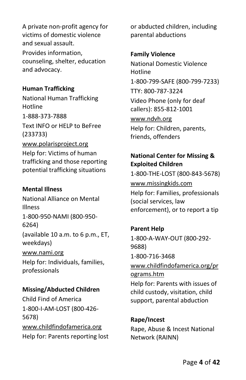A private non-profit agency for victims of domestic violence and sexual assault. Provides information, counseling, shelter, education and advocacy.

#### **Human Trafficking**

National Human Trafficking Hotline 1-888-373-7888 Text INFO or HELP to BeFree (233733) [www.polarisproject.org](http://www.polarisproject.org/) Help for: Victims of human trafficking and those reporting potential trafficking situations

## **Mental Illness**

National Alliance on Mental Illness 1-800-950-NAMI (800-950- 6264) (available 10 a.m. to 6 p.m., ET, weekdays) [www.nami.org](http://www.nami.org/) Help for: Individuals, families, professionals

## **Missing/Abducted Children**

Child Find of America 1-800-I-AM-LOST (800-426- 5678) [www.childfindofamerica.org](http://www.childfindofamerica.org/) Help for: Parents reporting lost or abducted children, including parental abductions

## **Family Violence**

National Domestic Violence Hotline 1-800-799-SAFE (800-799-7233) TTY: 800-787-3224 Video Phone (only for deaf callers): 855-812-1001 [www.ndvh.org](http://www.ndvh.org/) Help for: Children, parents, friends, offenders

# **National Center for Missing & Exploited Children**

1-800-THE-LOST (800-843-5678) [www.missingkids.com](http://www.missingkids.com/) Help for: Families, professionals (social services, law enforcement), or to report a tip

**Parent Help** 1-800-A-WAY-OUT (800-292- 9688) 1-800-716-3468 [www.childfindofamerica.org/pr](http://www.childfindofamerica.org/programs.htm) [ograms.htm](http://www.childfindofamerica.org/programs.htm) Help for: Parents with issues of child custody, visitation, child support, parental abduction

**Rape/Incest** Rape, Abuse & Incest National Network (RAINN)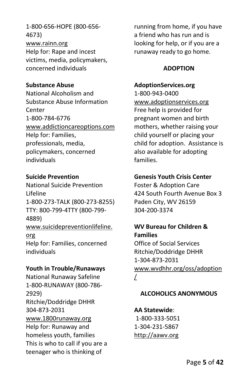1-800-656-HOPE (800-656- 4673) [www.rainn.org](http://www.rainn.org/) Help for: Rape and incest victims, media, policymakers, concerned individuals

## **Substance Abuse**

National Alcoholism and Substance Abuse Information Center 1-800-784-6776 [www.addictioncareoptions.com](http://www.addictioncareoptions.com/) Help for: Families, professionals, media, policymakers, concerned individuals

#### **Suicide Prevention**

National Suicide Prevention Lifeline 1-800-273-TALK (800-273-8255) TTY: 800-799-4TTY (800-799- 4889) [www.suicidepreventionlifeline.](http://www.suicidepreventionlifeline.org/) [org](http://www.suicidepreventionlifeline.org/) Help for: Families, concerned individuals

#### **Youth in Trouble/Runaways**

National Runaway Safeline 1-800-RUNAWAY (800-786- 2929) Ritchie/Doddridge DHHR 304-873-2031 [www.1800runaway.org](http://www.1800runaway.org/) Help for: Runaway and homeless youth, families This is who to call if you are a teenager who is thinking of

running from home, if you have a friend who has run and is looking for help, or if you are a runaway ready to go home.

## **ADOPTION**

#### **AdoptionServices.org**

1-800-943-0400 [www.adoptionservices.org](http://www.adoptionservices.org/) Free help is provided for pregnant women and birth mothers, whether raising your child yourself or placing your child for adoption. Assistance is also available for adopting families.

#### **Genesis Youth Crisis Center**

Foster & Adoption Care 424 South Fourth Avenue Box 3 Paden City, WV 26159 304-200-3374

# **WV Bureau for Children & Families**

Office of Social Services Ritchie/Doddridge DHHR 1-304-873-2031 [www.wvdhhr.org/oss/adoption](http://www.wvdhhr.org/oss/adoption/) [/](http://www.wvdhhr.org/oss/adoption/)

## **ALCOHOLICS ANONYMOUS**

## **AA Statewide**:

1-800-333-5051 1-304-231-5867 [http://aawv.org](http://aawv.org/)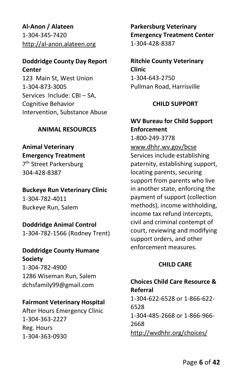**Al-Anon / Alateen** 1-304-345-7420 [http://al-anon.alateen.org](http://al-anon.alateen.org/)

#### **Doddridge County Day Report Center**

123 Main St, West Union 1-304-873-3005 Services Include: CBI – SA, Cognitive Behavior Intervention, Substance Abuse

## **ANIMAL RESOURCES**

# **Animal Veterinary**

**Emergency Treatment** 7 th Street Parkersburg 304-428-8387

# **Buckeye Run Veterinary Clinic**

1-304-782-4011 Buckeye Run, Salem

# **Doddridge Animal Control**

1-304-782-1566 (Rodney Trent)

# **Doddridge County Humane Society**

1-304-782-4900 1286 Wiseman Run, Salem dchsfamily99@gmail.com

## **Fairmont Veterinary Hospital**

After Hours Emergency Clinic 1-304-363-2227 Reg. Hours 1-304-363-0930

**Parkersburg Veterinary Emergency Treatment Center** 1-304-428-8387

**Ritchie County Veterinary Clinic** 1-304-643-2750 Pullman Road, Harrisville

## **CHILD SUPPORT**

## **WV Bureau for Child Support Enforcement**

1-800-249-3778

www.dhhr.wv.gov/bcse Services include establishing paternity, establishing support, locating parents, securing support from parents who live in another state, enforcing the payment of support (collection methods), income withholding, income tax refund intercepts, civil and criminal contempt of court, reviewing and modifying support orders, and other enforcement measures.

## **CHILD CARE**

## **Choices Child Care Resource & Referral** 1-304-622-6528 or 1-866-622- 6528 1-304-485-2668 or 1-866-966- 2668 <http://wvdhhr.org/choices/>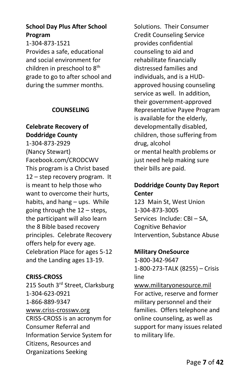## **School Day Plus After School Program**

1-304-873-1521 Provides a safe, educational and social environment for children in preschool to 8<sup>th</sup> grade to go to after school and during the summer months.

## **COUNSELING**

## **Celebrate Recovery of Doddridge County**

1-304-873-2929 (Nancy Stewart) Facebook.com/CRODCWV This program is a Christ based 12 – step recovery program. It is meant to help those who want to overcome their hurts, habits, and hang – ups. While going through the 12 – steps, the participant will also learn the 8 Bible based recovery principles. Celebrate Recovery offers help for every age. Celebration Place for ages 5-12 and the Landing ages 13-19.

## **CRISS-CROSS**

215 South 3rd Street, Clarksburg 1-304-623-0921 1-866-889-9347 [www.criss-crosswv.org](http://www.criss-crosswv.org/) CRISS-CROSS is an acronym for Consumer Referral and Information Service System for Citizens, Resources and Organizations Seeking

Solutions. Their Consumer Credit Counseling Service provides confidential counseling to aid and rehabilitate financially distressed families and individuals, and is a HUDapproved housing counseling service as well. In addition, their government-approved Representative Payee Program is available for the elderly, developmentally disabled, children, those suffering from drug, alcohol or mental health problems or just need help making sure their bills are paid.

## **Doddridge County Day Report Center**

123 Main St, West Union 1-304-873-3005 Services Include: CBI – SA, Cognitive Behavior Intervention, Substance Abuse

## **Military OneSource**

1-800-342-9647 1-800-273-TALK (8255) – Crisis line [www.militaryonesource.mil](http://www.militaryonesource.mil/) For active, reserve and former military personnel and their families. Offers telephone and online counseling, as well as support for many issues related to military life.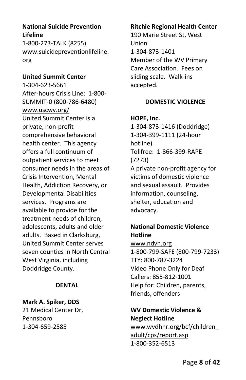## **National Suicide Prevention Lifeline**

1-800-273-TALK (8255) [www.suicidepreventionlifeline.](http://www.suicidepreventionlifeline.org/) [org](http://www.suicidepreventionlifeline.org/)

#### **United Summit Center**

1-304-623-5661 After-hours Crisis Line: 1-800- SUMMIT-0 (800-786-6480) [www.uscwv.org/](http://www.uscwv.org/) United Summit Center is a private, non-profit comprehensive behavioral health center. This agency offers a full continuum of outpatient services to meet consumer needs in the areas of Crisis Intervention, Mental Health, Addiction Recovery, or Developmental Disabilities services. Programs are available to provide for the treatment needs of children, adolescents, adults and older adults. Based in Clarksburg, United Summit Center serves seven counties in North Central West Virginia, including Doddridge County.

#### **DENTAL**

## **Mark A. Spiker, DDS**

21 Medical Center Dr, Pennsboro 1-304-659-2585

#### **Ritchie Regional Health Center**

190 Marie Street St, West Union 1-304-873-1401 Member of the WV Primary Care Association. Fees on sliding scale. Walk-ins accepted.

## **DOMESTIC VIOLENCE**

**HOPE, Inc.** 1-304-873-1416 (Doddridge) 1-304-399-1111 (24-hour hotline) Tollfree: 1-866-399-RAPE (7273) A private non-profit agency for victims of domestic violence and sexual assault. Provides information, counseling, shelter, education and advocacy.

## **National Domestic Violence Hotline**

[www.ndvh.org](http://www.ndvh.org/) 1-800-799-SAFE (800-799-7233) TTY: 800-787-3224 Video Phone Only for Deaf Callers: 855-812-1001 Help for: Children, parents, friends, offenders

## **WV Domestic Violence & Neglect Hotline**

[www.wvdhhr.org/bcf/children\\_](http://www.wvdhhr.org/bcf/children_adult/cps/report.asp) [adult/cps/report.asp](http://www.wvdhhr.org/bcf/children_adult/cps/report.asp) 1-800-352-6513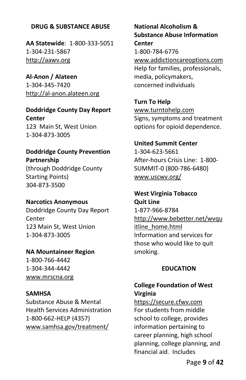## **DRUG & SUBSTANCE ABUSE**

**AA Statewide**: 1-800-333-5051 1-304-231-5867 [http://aawv.org](http://aawv.org/)

**Al-Anon / Alateen** 1-304-345-7420 [http://al-anon.alateen.org](http://al-anon.alateen.org/)

**Doddridge County Day Report Center** 123 Main St, West Union 1-304-873-3005

**Doddridge County Prevention Partnership** (through Doddridge County Starting Points) 304-873-3500

**Narcotics Anonymous** Doddridge County Day Report **Center** 123 Main St, West Union 1-304-873-3005

**NA Mountaineer Region** 1-800-766-4442 1-304-344-4442 [www.mrscna.org](http://www.mrscna.org/)

**SAMHSA** Substance Abuse & Mental Health Services Administration 1-800-662-HELP (4357) [www.samhsa.gov/treatment/](http://www.samhsa.gov/treatment/)

**National Alcoholism & Substance Abuse Information Center** 1-800-784-6776 [www.addictioncareoptions.com](http://www.addictioncareoptions.com/) Help for families, professionals, media, policymakers, concerned individuals

**Turn To Help** [www.turntohelp.com](http://www.turntohelp.com/) Signs, symptoms and treatment options for opioid dependence.

**United Summit Center** 1-304-623-5661 After-hours Crisis Line: 1-800- SUMMIT-0 (800-786-6480) [www.uscwv.org/](http://www.uscwv.org/)

**West Virginia Tobacco Quit Line** 1-877-966-8784 [http://www.bebetter.net/wvqu](http://www.bebetter.net/wvquitline_home.html) [itline\\_home.html](http://www.bebetter.net/wvquitline_home.html) Information and services for those who would like to quit smoking.

#### **EDUCATION**

## **College Foundation of West Virginia**

[https://secure.cfwv.com](https://secure.cfwv.com/) For students from middle school to college, provides information pertaining to career planning, high school planning, college planning, and financial aid. Includes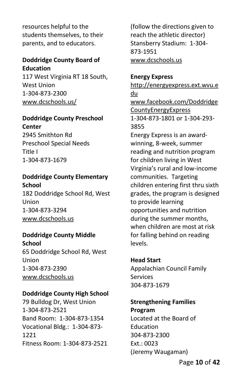resources helpful to the students themselves, to their parents, and to educators.

#### **Doddridge County Board of Education**

117 West Virginia RT 18 South, West Union 1-304-873-2300 www[.dcschools.us/](http://boe.dodd.k12.wv.us/)

#### **Doddridge County Preschool Center**

2945 Smithton Rd Preschool Special Needs Title I 1-304-873-1679

## **Doddridge County Elementary School**

182 Doddridge School Rd, West Union 1-304-873-3294 [www.dcschools.us](http://www.edline.net/pages/Doddridge_County_Elementary_Sc)

#### **Doddridge County Middle School**

65 Doddridge School Rd, West Union 1-304-873-2390 [www.dcschools.us](http://www.edline.net/pages/Doddridge_County_Elementary_Sc)

## **Doddridge County High School**

79 Bulldog Dr, West Union 1-304-873-2521 Band Room: 1-304-873-1354 Vocational Bldg.: 1-304-873- 1221 Fitness Room: 1-304-873-2521 (follow the directions given to reach the athletic director) Stansberry Stadium: 1-304- 873-1951 [www.dcschools.us](http://www.edline.net/pages/Doddridge_County_Elementary_Sc)

#### **Energy Express**

[http://energyexpress.ext.wvu.e](http://energyexpress.ext.wvu.edu/) [du](http://energyexpress.ext.wvu.edu/) [www.facebook.com/Doddridge](http://www.facebook.com/DoddridgeCountyEnergyExpress) [CountyEnergyExpress](http://www.facebook.com/DoddridgeCountyEnergyExpress) 1-304-873-1801 or 1-304-293- 3855 Energy Express is an awardwinning, 8-week, summer reading and nutrition program for children living in West Virginia's rural and low-income communities. Targeting children entering first thru sixth grades, the program is designed to provide learning opportunities and nutrition during the summer months, when children are most at risk for falling behind on reading levels.

## **Head Start**

Appalachian Council Family Services 304-873-1679

## **Strengthening Families Program**

Located at the Board of Education 304-873-2300 Ext.: 0023 (Jeremy Waugaman)

Page **10** of **42**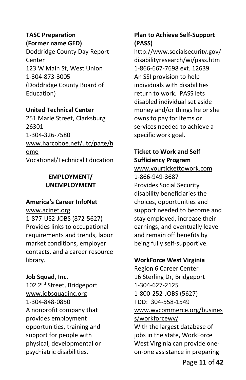#### **TASC Preparation (Former name GED)**

Doddridge County Day Report Center 123 W Main St, West Union 1-304-873-3005 (Doddridge County Board of Education)

## **United Technical Center**

251 Marie Street, Clarksburg 26301 1-304-326-7580 [www.harcoboe.net/utc/page/h](http://www.harcoboe.net/utc/page/home) [ome](http://www.harcoboe.net/utc/page/home) Vocational/Technical Education

# **EMPLOYMENT/ UNEMPLOYMENT**

## **America's Career InfoNet**

[www.acinet.org](http://www.acinet.org/) 1-877-US2-JOBS (872-5627) Provides links to occupational requirements and trends, labor market conditions, employer contacts, and a career resource library.

## **Job Squad, Inc.**

102 2<sup>nd</sup> Street, Bridgeport [www.jobsquadinc.org](http://www.jobsquadinc.org/) 1-304-848-0850 A nonprofit company that provides employment opportunities, training and support for people with physical, developmental or psychiatric disabilities.

# **Plan to Achieve Self-Support (PASS)**

[http://www.socialsecurity.gov/](http://www.socialsecurity.gov/disabilityresearch/wi/pass.htm) [disabilityresearch/wi/pass.htm](http://www.socialsecurity.gov/disabilityresearch/wi/pass.htm) 1-866-667-7698 ext. 12639 An SSI provision to help individuals with disabilities return to work. PASS lets disabled individual set aside money and/or things he or she owns to pay for items or services needed to achieve a specific work goal.

# **Ticket to Work and Self Sufficiency Program**

[www.yourtickettowork.com](http://www.yourtickettowork.com/) 1-866-949-3687 Provides Social Security disability beneficiaries the choices, opportunities and support needed to become and stay employed, increase their earnings, and eventually leave and remain off benefits by being fully self-supportive.

## **WorkForce West Virginia**

Region 6 Career Center 16 Sterling Dr, Bridgeport 1-304-627-2125 1-800-252-JOBS (5627) TDD: 304-558-1549 [www.wvcommerce.org/busines](http://www.wvcommerce.org/business/workforcewv/) [s/workforcewv/](http://www.wvcommerce.org/business/workforcewv/) With the largest database of jobs in the state, WorkForce West Virginia can provide oneon-one assistance in preparing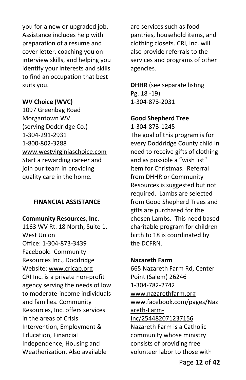you for a new or upgraded job. Assistance includes help with preparation of a resume and cover letter, coaching you on interview skills, and helping you identify your interests and skills to find an occupation that best suits you.

## **WV Choice (WVC)**

1097 Greenbag Road Morgantown WV (serving Doddridge Co.) 1-304-291-2931 1-800-802-3288 [www.westvirginiaschoice.com](http://www.westvirginiaschoice.com/) Start a rewarding career and join our team in providing quality care in the home.

#### **FINANCIAL ASSISTANCE**

#### **Community Resources, Inc.**

1163 WV Rt. 18 North, Suite 1, West Union Office: 1-304-873-3439 Facebook: Community Resources Inc., Doddridge Website[: www.cricap.org](http://www.cricap.org/)  CRI Inc. is a private non-profit agency serving the needs of low to moderate-income individuals and families. Community Resources, Inc. offers services in the areas of Crisis Intervention, Employment & Education, Financial Independence, Housing and Weatherization. Also available

are services such as food pantries, household items, and clothing closets. CRI, Inc. will also provide referrals to the services and programs of other agencies.

**DHHR** (see separate listing Pg. 18 -19) 1-304-873-2031

#### **Good Shepherd Tree**

1-304-873-1245 The goal of this program is for every Doddridge County child in need to receive gifts of clothing and as possible a "wish list" item for Christmas. Referral from DHHR or Community Resources is suggested but not required. Lambs are selected from Good Shepherd Trees and gifts are purchased for the chosen Lambs. This need based charitable program for children birth to 18 is coordinated by the DCFRN.

#### **Nazareth Farm**

665 Nazareth Farm Rd, Center Point (Salem) 26246 1-304-782-2742 [www.nazarethfarm.org](http://www.nazarethfarm.org/) [www.facebook.com/pages/Naz](http://www.facebook.com/pages/Nazareth-Farm-Inc/254482071237156) [areth-Farm-](http://www.facebook.com/pages/Nazareth-Farm-Inc/254482071237156)[Inc/254482071237156](http://www.facebook.com/pages/Nazareth-Farm-Inc/254482071237156) Nazareth Farm is a Catholic community whose ministry consists of providing free volunteer labor to those with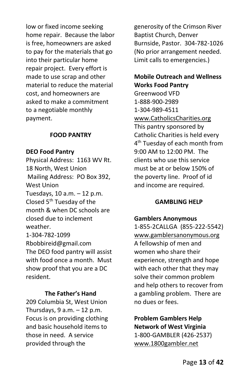low or fixed income seeking home repair. Because the labor is free, homeowners are asked to pay for the materials that go into their particular home repair project. Every effort is made to use scrap and other material to reduce the material cost, and homeowners are asked to make a commitment to a negotiable monthly payment.

#### **FOOD PANTRY**

#### **DEO Food Pantry**

Physical Address: 1163 WV Rt. 18 North, West Union Mailing Address: PO Box 392, West Union Tuesdays, 10 a.m. – 12 p.m. Closed 5<sup>th</sup> Tuesday of the month & when DC schools are closed due to inclement weather. 1-304-782-1099 Rbobbireid@gmail.com The DEO food pantry will assist with food once a month. Must show proof that you are a DC resident.

#### **The Father's Hand**

209 Columbia St, West Union Thursdays,  $9 a.m. - 12 p.m.$ Focus is on providing clothing and basic household items to those in need. A service provided through the

generosity of the Crimson River Baptist Church, Denver Burnside, Pastor. 304-782-1026 (No prior arrangement needed. Limit calls to emergencies.)

## **Mobile Outreach and Wellness Works Food Pantry**

Greenwood VFD 1-888-900-2989 1-304-989-4511 [www.CatholicsCharities.org](http://www.catholicscharities.org/) This pantry sponsored by Catholic Charities is held every 4 th Tuesday of each month from 9:00 AM to 12:00 PM. The clients who use this service must be at or below 150% of the poverty line. Proof of id and income are required.

#### **GAMBLING HELP**

#### **Gamblers Anonymous**

1-855-2CALLGA (855-222-5542) [www.gamblersanonymous.org](http://www.gamblersanonymous.org/) A fellowship of men and women who share their experience, strength and hope with each other that they may solve their common problem and help others to recover from a gambling problem. There are no dues or fees.

**Problem Gamblers Help Network of West Virginia** 1-800-GAMBLER (426-2537) [www.1800gambler.net](http://www.1800gambler.net/)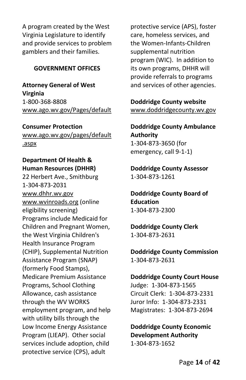A program created by the West Virginia Legislature to identify and provide services to problem gamblers and their families.

## **GOVERNMENT OFFICES**

**Attorney General of West Virginia** 1-800-368-8808 [www.ago.wv.gov/Pages/default](http://www.wvago.gov/publicresource.cfm)

**Consumer Protection** [www.ago.wv.gov/pages/default](http://www.wv.gov/residents/Pages/ConsumerProtection.aspx) [.aspx](http://www.wv.gov/residents/Pages/ConsumerProtection.aspx)

## **Department Of Health & Human Resources (DHHR)**

22 Herbert Ave., Smithburg 1-304-873-2031 www.dhhr.wv.gov [www.wvinroads.org](http://www.wvinroads.org/) (online eligibility screening) Programs include Medicaid for Children and Pregnant Women, the West Virginia Children's Health Insurance Program (CHIP), Supplemental Nutrition Assistance Program (SNAP) (formerly Food Stamps), Medicare Premium Assistance Programs, School Clothing Allowance, cash assistance through the WV WORKS employment program, and help with utility bills through the Low Income Energy Assistance Program (LIEAP). Other social services include adoption, child protective service (CPS), adult

protective service (APS), foster care, homeless services, and the Women-Infants-Children supplemental nutrition program (WIC). In addition to its own programs, DHHR will provide referrals to programs and services of other agencies.

**Doddridge County website** [www.doddridgecounty.wv.gov](http://www.doddridgecounty.wv.gov/)

**Doddridge County Ambulance Authority** 1-304-873-3650 (for emergency, call 9-1-1)

**Doddridge County Assessor** 1-304-873-1261

**Doddridge County Board of Education** 1-304-873-2300

**Doddridge County Clerk** 1-304-873-2631

**Doddridge County Commission** 1-304-873-2631

**Doddridge County Court House** Judge: 1-304-873-1565 Circuit Clerk: 1-304-873-2331 Juror Info: 1-304-873-2331 Magistrates: 1-304-873-2694

**Doddridge County Economic Development Authority** 1-304-873-1652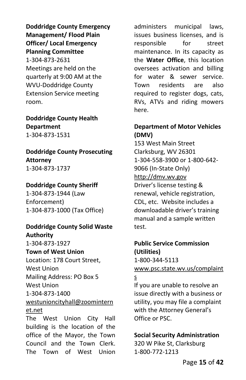**Doddridge County Emergency Management/ Flood Plain Officer/ Local Emergency Planning Committee** 1-304-873-2631 Meetings are held on the quarterly at 9:00 AM at the WVU-Doddridge County Extension Service meeting room.

**Doddridge County Health Department** 1-304-873-1531

**Doddridge County Prosecuting Attorney** 1-304-873-1737

#### **Doddridge County Sheriff**

1-304-873-1944 (Law Enforcement) 1-304-873-1000 (Tax Office)

#### **Doddridge County Solid Waste Authority**

1-304-873-1927 **Town of West Union** Location: 178 Court Street, West Union Mailing Address: PO Box 5 West Union 1-304-873-1400 [westunioncityhall@zoomintern](mailto:westunioncityhall@zoominternet.net) [et.net](mailto:westunioncityhall@zoominternet.net)

The West Union City Hall building is the location of the office of the Mayor, the Town Council and the Town Clerk. The Town of West Union

administers municipal laws, issues business licenses, and is responsible for street maintenance. In its capacity as the **Water Office**, this location oversees activation and billing for water & sewer service. Town residents are also required to register dogs, cats, RVs, ATVs and riding mowers here.

## **Department of Motor Vehicles (DMV)**

153 West Main Street Clarksburg, WV 26301 1-304-558-3900 or 1-800-642- 9066 (In-State Only) [http://dmv.wv.gov](http://dmv.wv.gov/) Driver's license testing & renewal, vehicle registration, CDL, etc. Website includes a downloadable driver's training manual and a sample written test.

# **Public Service Commission (Utilities)** 1-800-344-5113

[www.psc.state.wv.us/complaint](http://www.psc.state.wv.us/complaints)

## [s](http://www.psc.state.wv.us/complaints)

If you are unable to resolve an issue directly with a business or utility, you may file a complaint with the Attorney General's Office or PSC.

## **Social Security Administration**

320 W Pike St, Clarksburg 1-800-772-1213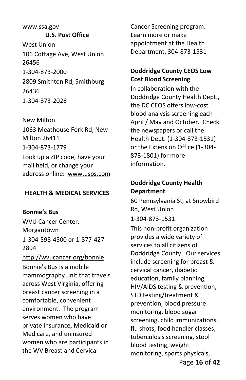#### www.ssa.gov

**U.S. Post Office** West Union 106 Cottage Ave, West Union 26456 1-304-873-2000 2809 Smithton Rd, Smithburg 26436 1-304-873-2026

New Milton 1063 Meathouse Fork Rd, New Milton 26411 1-304-873-1779 Look up a ZIP code, have your mail held, or change your address online: [www.usps.com](http://www.usps.com/)

#### **HEALTH & MEDICAL SERVICES**

**Bonnie's Bus**

WVU Cancer Center, Morgantown 1-304-598-4500 or 1-877-427- 2894

<http://wvucancer.org/bonnie> Bonnie's Bus is a mobile mammography unit that travels across West Virginia, offering breast cancer screening in a comfortable, convenient environment. The program serves women who have private insurance, Medicaid or Medicare, and uninsured women who are participants in the WV Breast and Cervical

Cancer Screening program. Learn more or make appointment at the Health Department, 304-873-1531

## **Doddridge County CEOS Low Cost Blood Screening**

In collaboration with the Doddridge County Health Dept., the DC CEOS offers low-cost blood analysis screening each April / May and October. Check the newspapers or call the Health Dept. (1-304-873-1531) or the Extension Office (1-304- 873-1801) for more information.

## **Doddridge County Health Department**

60 Pennsylvania St, at Snowbird Rd, West Union 1-304-873-1531

Page **16** of **42** This non-profit organization provides a wide variety of services to all citizens of Doddridge County. Our services include screening for breast & cervical cancer, diabetic education, family planning, HIV/AIDS testing & prevention, STD testing/treatment & prevention, blood pressure monitoring, blood sugar screening, child immunizations, flu shots, food handler classes, tuberculosis screening, stool blood testing, weight monitoring, sports physicals,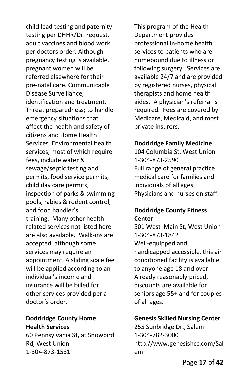child lead testing and paternity testing per DHHR/Dr. request, adult vaccines and blood work per doctors order. Although pregnancy testing is available, pregnant women will be referred elsewhere for their pre-natal care. Communicable Disease Surveillance; identification and treatment, Threat preparedness; to handle emergency situations that affect the health and safety of citizens and Home Health Services. Environmental health services, most of which require fees, include water & sewage/septic testing and permits, food service permits, child day care permits, inspection of parks & swimming pools, rabies & rodent control, and food handler's training. Many other healthrelated services not listed here are also available. Walk-ins are accepted, although some services may require an appointment. A sliding scale fee will be applied according to an individual's income and insurance will be billed for other services provided per a doctor's order.

## **Doddridge County Home Health Services**

60 Pennsylvania St, at Snowbird Rd, West Union 1-304-873-1531

This program of the Health Department provides professional in-home health services to patients who are homebound due to illness or following surgery. Services are available 24/7 and are provided by registered nurses, physical therapists and home health aides. A physician's referral is required. Fees are covered by Medicare, Medicaid, and most private insurers.

#### **Doddridge Family Medicine**

104 Columbia St, West Union 1-304-873-2590 Full range of general practice medical care for families and individuals of all ages. Physicians and nurses on staff.

## **Doddridge County Fitness Center**

501 West Main St, West Union 1-304-873-1842 Well-equipped and handicapped accessible, this air conditioned facility is available to anyone age 18 and over. Already reasonably priced, discounts are available for seniors age 55+ and for couples of all ages.

## **Genesis Skilled Nursing Center**

255 Sunbridge Dr., Salem 1-304-782-3000 [http://www.genesishcc.com/Sal](http://www.genesishcc.com/Salem) [em](http://www.genesishcc.com/Salem)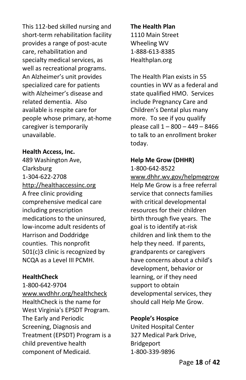This 112-bed skilled nursing and short-term rehabilitation facility provides a range of post-acute care, rehabilitation and specialty medical services, as well as recreational programs. An Alzheimer's unit provides specialized care for patients with Alzheimer's disease and related dementia. Also available is respite care for people whose primary, at-home caregiver is temporarily unavailable.

## **Health Access, Inc.**

489 Washington Ave, Clarksburg 1-304-622-2708 [http://healthaccessinc.org](http://healthaccessinc.org/) A free clinic providing comprehensive medical care including prescription medications to the uninsured, low-income adult residents of Harrison and Doddridge counties. This nonprofit 501(c)3 clinic is recognized by NCQA as a Level III PCMH.

## **HealthCheck**

1-800-642-9704 [www.wvdhhr.org/healthcheck](http://www.wvdhhr.org/healthcheck) HealthCheck is the name for West Virginia's EPSDT Program. The Early and Periodic Screening, Diagnosis and Treatment (EPSDT) Program is a child preventive health component of Medicaid.

**The Health Plan** 1110 Main Street Wheeling WV 1-888-613-8385 Healthplan.org

The Health Plan exists in 55 counties in WV as a federal and state qualified HMO. Services include Pregnancy Care and Children's Dental plus many more. To see if you qualify please call 1 – 800 – 449 – 8466 to talk to an enrollment broker today.

# **Help Me Grow (DHHR)**

1-800-642-8522

[www.dhhr.wv.gov/helpmegrow](http://www.dhhr.wv.gov/helpmegrow) Help Me Grow is a free referral service that connects families with critical developmental resources for their children birth through five years. The goal is to identify at-risk children and link them to the help they need. If parents, grandparents or caregivers have concerns about a child's development, behavior or learning, or if they need support to obtain developmental services, they should call Help Me Grow.

## **People's Hospice**

United Hospital Center 327 Medical Park Drive, Bridgeport 1-800-339-9896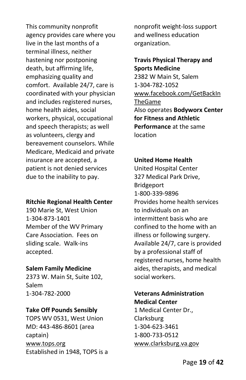This community nonprofit agency provides care where you live in the last months of a terminal illness, neither hastening nor postponing death, but affirming life, emphasizing quality and comfort. Available 24/7, care is coordinated with your physician and includes registered nurses, home health aides, social workers, physical, occupational and speech therapists; as well as volunteers, clergy and bereavement counselors. While Medicare, Medicaid and private insurance are accepted, a patient is not denied services due to the inability to pay.

## **Ritchie Regional Health Center**

[190 Marie St, West Union](https://www.facebook.com/search/top/?q=doddridge%20family%20medicine&epa=SEARCH_BOX) 1-304-873-1401 Member of the WV Primary Care Association. Fees on sliding scale. Walk-ins accepted.

#### **Salem Family Medicine**

2373 W. Main St, Suite 102, Salem 1-304-782-2000

#### **Take Off Pounds Sensibly**

TOPS WV 0531, West Union MD: 443-486-8601 (area captain) [www.tops.org](http://www.tops.org/) Established in 1948, TOPS is a

nonprofit weight-loss support and wellness education organization.

# **Travis Physical Therapy and Sports Medicine**

2382 W Main St, Salem 1-304-782-1052 [www.facebook.com/GetBackIn](http://www.facebook.com/GetBackInTheGame) [TheGame](http://www.facebook.com/GetBackInTheGame) Also operates **Bodyworx Center for Fitness and Athletic Performance** at the same location

#### **United Home Health**

United Hospital Center 327 Medical Park Drive, Bridgeport 1-800-339-9896 Provides home health services to individuals on an intermittent basis who are confined to the home with an illness or following surgery. Available 24/7, care is provided by a professional staff of registered nurses, home health aides, therapists, and medical social workers.

#### **Veterans Administration Medical Center**

1 Medical Center Dr., Clarksburg 1-304-623-3461 1-800-733-0512 [www.clarksburg.va.gov](http://www.clarksburg.va.gov/)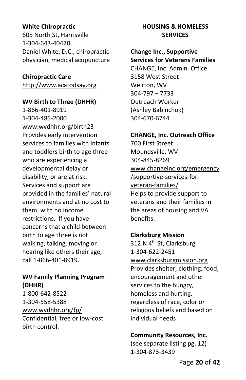## **White Chiropractic**

605 North St, Harrisville 1-304-643-40470 Daniel White, D.C., chiropractic physician, medical acupuncture

**Chiropractic Care** [http://www.acatodsay.org](http://www.acatodsay.org/)

**WV Birth to Three (DHHR)** 1-866-401-8919 1-304-485-2000 [www.wvdhhr.org/birth23](http://www.wvdhhr.org/birth23) Provides early intervention services to families with infants and toddlers birth to age three who are experiencing a developmental delay or disability, or are at risk. Services and support are provided in the families' natural environments and at no cost to them, with no income restrictions. If you have concerns that a child between birth to age three is not walking, talking, moving or hearing like others their age, call 1-866-401-8919.

## **WV Family Planning Program (DHHR)**

1-800-642-8522 1-304-558-5388 [www.wvdhhr.org/fp/](http://www.wvdhhr.org/fp/) Confidential, free or low-cost birth control.

## **HOUSING & HOMELESS SERVICES**

#### **Change Inc., Supportive Services for Veterans Families**

CHANGE, Inc. Admin. Office 3158 West Street Weirton, WV 304-797 – 7733 Outreach Worker (Ashley Babinchok) 304-670-6744

## **CHANGE, Inc. Outreach Office**

700 First Street Moundsville, WV 304-845-8269 [www.changeinc.org/emergency](http://www.changeinc.org/emergency/supportive-services-for-veteran-families/) [/supportive-services-for](http://www.changeinc.org/emergency/supportive-services-for-veteran-families/)[veteran-families/](http://www.changeinc.org/emergency/supportive-services-for-veteran-families/) Helps to provide support to veterans and their families in the areas of housing and VA benefits.

## **Clarksburg Mission**

312 N 4<sup>th</sup> St, Clarksburg 1-304-622-2451 [www.clarksburgmission.org](http://www.clarksburgmission.org/) Provides shelter, clothing, food, encouragement and other services to the hungry, homeless and hurting, regardless of race, color or religious beliefs and based on individual needs

## **Community Resources, Inc.**

(see separate listing pg. 12) 1-304-873-3439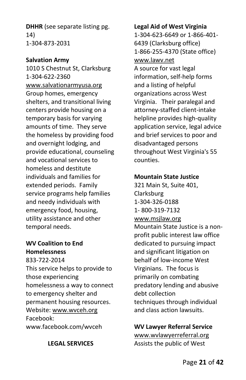**DHHR** (see separate listing pg. 14) 1-304-873-2031

## **Salvation Army**

1010 S Chestnut St, Clarksburg 1-304-622-2360 [www.salvationarmyusa.org](http://www.salvationarmyusa.org/) Group homes, emergency shelters, and transitional living centers provide housing on a temporary basis for varying amounts of time. They serve the homeless by providing food and overnight lodging, and provide educational, counseling and vocational services to homeless and destitute individuals and families for extended periods. Family service programs help families and needy individuals with emergency food, housing, utility assistance and other temporal needs.

## **WV Coalition to End Homelessness** 833-722-2014

This service helps to provide to those experiencing homelessness a way to connect to emergency shelter and permanent housing resources. Website: [www.wvceh.org](http://www.wvceh.org/) Facebook: www.facebook.com/wvceh

## **LEGAL SERVICES**

#### **Legal Aid of West Virginia**

1-304-623-6649 or 1-866-401- 6439 (Clarksburg office) 1-866-255-4370 (State office) [www.lawv.net](http://www.lawv.net/) A source for vast legal information, self-help forms and a listing of helpful organizations across West Virginia. Their paralegal and attorney-staffed client-intake helpline provides high-quality application service, legal advice and brief services to poor and disadvantaged persons throughout West Virginia's 55 counties.

## **Mountain State Justice**

321 Main St, Suite 401, Clarksburg 1-304-326-0188 1- 800-319-7132 [www.msjlaw.org](http://www.msjlaw.org/) Mountain State Justice is a nonprofit public interest law office dedicated to pursuing impact and significant litigation on behalf of low-income West Virginians. The focus is primarily on combating predatory lending and abusive debt collection techniques through individual and class action lawsuits.

## **WV Lawyer Referral Service**

[www.wvlawyerreferral.org](http://www.wvlawyerreferral.org/) Assists the public of West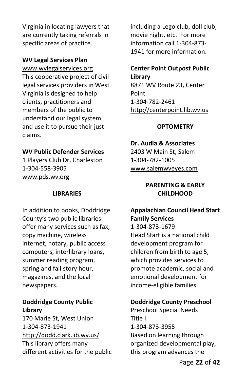Virginia in locating lawyers that are currently taking referrals in specific areas of practice.

#### **WV Legal Services Plan**

[www.wvlegalservices.org](http://www.wvlegalservices.org/) This cooperative project of civil legal services providers in West Virginia is designed to help clients, practitioners and members of the public to understand our legal system and use it to pursue their just claims.

#### **WV Public Defender Services**

1 Players Club Dr, Charleston 1-304-558-3905 [www.pds.wv.org](http://www.pds.wv.org/)

#### **LIBRARIES**

In addition to books, Doddridge County's two public libraries offer many services such as fax, copy machine, wireless internet, notary, public access computers, interlibrary loans, summer reading program, spring and fall story hour, magazines, and the local newspapers.

## **Doddridge County Public Library**

170 Marie St, West Union 1-304-873-1941 <http://dodd.clark.lib.wv.us/> This library offers many different activities for the public including a Lego club, doll club, movie night, etc. For more information call 1-304-873- 1941 for more information.

## **Center Point Outpost Public Library**

8871 WV Route 23, Center Point 1-304-782-2461 [http://centerpoint.lib.wv.us](http://centerpoint.lib.wv.us/)

#### **OPTOMETRY**

#### **Dr. Audia & Associates**

2403 W Main St, Salem 1-304-782-1005 [www.salemwveyes.com](http://www.salemwveyes.com/)

## **PARENTING & EARLY CHILDHOOD**

# **Appalachian Council Head Start Family Services**

1-304-873-1679 Head Start is a national child development program for children from birth to age 5, which provides services to promote academic, social and emotional development for income-eligible families.

#### **Doddridge County Preschool**

Preschool Special Needs Title I 1-304-873-3955 Based on learning through organized developmental play, this program advances the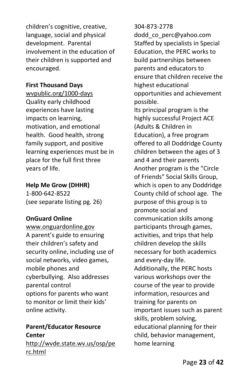children's cognitive, creative, language, social and physical development. Parental involvement in the education of their children is supported and encouraged.

## **First Thousand Days**

wvpublic.org/1000-days Quality early childhood experiences have lasting impacts on learning, motivation, and emotional health. Good health, strong family support, and positive learning experiences must be in place for the full first three years of life.

## **Help Me Grow (DHHR)**

1-800-642-8522 (see separate listing pg. 26)

## **OnGuard Online**

[www.onguardonline.gov](http://www.onguardonline.gov/) A parent's guide to ensuring their children's safety and security online, including use of social networks, video games, mobile phones and cyberbullying. Also addresses parental control options for parents who want to monitor or limit their kids' online activity.

## **Parent/Educator Resource Center**

[http://wvde.state.wv.us/osp/pe](http://wvde.state.wv.us/osp/perc.html) [rc.html](http://wvde.state.wv.us/osp/perc.html)

## 304-873-2778

dodd\_co\_perc@yahoo.com Staffed by specialists in Special Education, the PERC works to build partnerships between parents and educators to ensure that children receive the highest educational opportunities and achievement possible.

Its principal program is the highly successful Project ACE (Adults & Children in Education), a free program offered to all Doddridge County children between the ages of 3 and 4 and their parents Another program is the "Circle of Friends" Social Skills Group, which is open to any Doddridge County child of school age. The purpose of this group is to promote social and communication skills among participants through games, activities, and trips that help children develop the skills necessary for both academics and every-day life. Additionally, the PERC hosts various workshops over the course of the year to provide information, resources and training for parents on important issues such as parent skills, problem solving, educational planning for their child, behavior management, home learning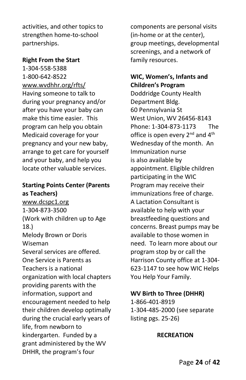activities, and other topics to strengthen home-to-school partnerships.

## **Right From the Start**

1-304-558-5388 1-800-642-8522 [www.wvdhhr.org/rfts/](http://www.wvdhhr.org/rfts/) Having someone to talk to during your pregnancy and/or after you have your baby can make this time easier. This program can help you obtain Medicaid coverage for your pregnancy and your new baby, arrange to get care for yourself and your baby, and help you locate other valuable services.

## **Starting Points Center (Parents as Teachers)**

[www.dcspc1.org](http://www.dcspc1.org/) 1-304-873-3500 (Work with children up to Age 18.) Melody Brown or Doris Wiseman Several services are offered. One Service is Parents as Teachers is a national organization with local chapters providing parents with the information, support and encouragement needed to help their children develop optimally during the crucial early years of life, from newborn to kindergarten. Funded by a grant administered by the WV DHHR, the program's four

components are personal visits (in-home or at the center), group meetings, developmental screenings, and a network of family resources.

## **WIC, Women's, Infants and Children's Program**

Doddridge County Health Department Bldg. 60 Pennsylvania St West Union, WV 26456-8143 Phone: 1-304-873-1173The office is open every 2<sup>nd</sup> and 4<sup>th</sup> Wednesday of the month.An Immunization nurse is also available by appointment. Eligible children participating in the WIC Program may receive their immunizations free of charge. A Lactation Consultant is available to help with your breastfeeding questions and concerns. Breast pumps may be available to those women in need.To learn more about our program stop by or call the Harrison County office at 1-304- 623-1147 to see how WIC Helps You Help Your Family.

## **WV Birth to Three (DHHR)**

1-866-401-8919 1-304-485-2000 (see separate listing pgs. 25-26)

## **RECREATION**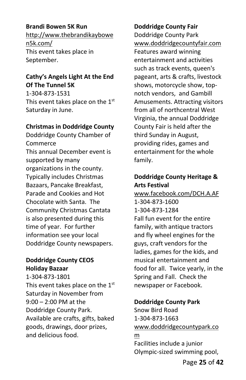## **Brandi Bowen 5K Run**

http://www.thebrandikaybowe n5k.com/ This event takes place in September.

## **Cathy's Angels Light At the End Of The Tunnel 5K**

1-304-873-1531 This event takes place on the  $1<sup>st</sup>$ Saturday in June.

#### **Christmas in Doddridge County**

Doddridge County Chamber of Commerce This annual December event is supported by many organizations in the county. Typically includes Christmas Bazaars, Pancake Breakfast, Parade and Cookies and Hot Chocolate with Santa. The Community Christmas Cantata is also presented during this time of year. For further information see your local Doddridge County newspapers.

## **Doddridge County CEOS Holiday Bazaar**

1-304-873-1801 This event takes place on the 1<sup>st</sup> Saturday in November from 9:00 – 2:00 PM at the Doddridge County Park. Available are crafts, gifts, baked goods, drawings, door prizes, and delicious food.

## **Doddridge County Fair**

Doddridge County Park [www.doddridgecountyfair.com](http://www.doddridgecountyfair.com/) Features award winning entertainment and activities such as track events, queen's pageant, arts & crafts, livestock shows, motorcycle show, topnotch vendors, and Gambill Amusements. Attracting visitors from all of northcentral West Virginia, the annual Doddridge County Fair is held after the third Sunday in August, providing rides, games and entertainment for the whole family.

## **Doddridge County Heritage & Arts Festival**

[www.facebook.com/DCH.A.AF](http://www.facebook.com/DCH.A.AF) 1-304-873-1600 1-304-873-1284 Fall fun event for the entire family, with antique tractors and fly wheel engines for the guys, craft vendors for the ladies, games for the kids, and musical entertainment and food for all. Twice yearly, in the Spring and Fall. Check the newspaper or Facebook.

## **Doddridge County Park**

Snow Bird Road 1-304-873-1663 [www.doddridgecountypark.co](http://www.doddridgecountypark.com/) [m](http://www.doddridgecountypark.com/) Facilities include a junior Olympic-sized swimming pool,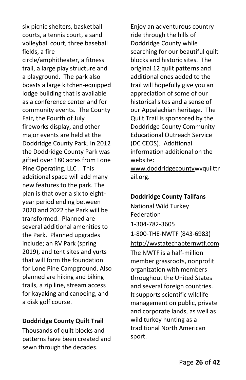six picnic shelters, basketball courts, a tennis court, a sand volleyball court, three baseball fields, a fire circle/amphitheater, a fitness trail, a large play structure and a playground. The park also boasts a large kitchen-equipped lodge building that is available as a conference center and for community events. The County Fair, the Fourth of July fireworks display, and other major events are held at the Doddridge County Park. In 2012 the Doddridge County Park was gifted over 180 acres from Lone Pine Operating, LLC . This additional space will add many new features to the park. The plan is that over a six to eightyear period ending between 2020 and 2022 the Park will be transformed. Planned are several additional amenities to the Park. Planned upgrades include; an RV Park (spring 2019), and tent sites and yurts that will form the foundation for Lone Pine Campground. Also planned are hiking and biking trails, a zip line, stream access for kayaking and canoeing, and a disk golf course.

## **Doddridge County Quilt Trail**

Thousands of quilt blocks and patterns have been created and sewn through the decades.

Enjoy an adventurous country ride through the hills of Doddridge County while searching for our beautiful quilt blocks and historic sites. The original 12 quilt patterns and additional ones added to the trail will hopefully give you an appreciation of some of our historical sites and a sense of our Appalachian heritage. The Quilt Trail is sponsored by the Doddridge County Community Educational Outreach Service (DC CEOS). Additional information additional on the website:

[www.doddridgecountyw](http://www.doddridgecounty/)vquilttr ail.org.

## **Doddridge County Tailfans**

National Wild Turkey Federation 1-304-782-3605 1-800-THE-NWTF (843-6983) [http://wvstatechapternwtf.com](http://wvstatechapternwtf.com/) The NWTF is a half-million member grassroots, nonprofit organization with members throughout the United States and several foreign countries. It supports scientific wildlife management on public, private and corporate lands, as well as wild turkey hunting as a traditional North American sport.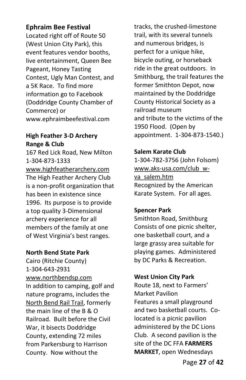## **Ephraim Bee Festival**

Located right off of Route 50 (West Union City Park), this event features vendor booths, live entertainment, Queen Bee Pageant, Honey Tasting Contest, Ugly Man Contest, and a 5K Race. To find more information go to Facebook (Doddridge County Chamber of Commerce) or www.ephraimbeefestival.com

## **High Feather 3-D Archery Range & Club**

167 Red Lick Road, New Milton 1-304-873-1333 [www.highfeatherarchery.com](http://www.highfeatherarchery.com/) The High Feather Archery Club is a non-profit organization that has been in existence since 1996. Its purpose is to provide a top quality 3-Dimensional archery experience for all members of the family at one of West Virginia's best ranges.

## **North Bend State Park**

Cairo (Ritchie County) 1-304-643-2931 [www.northbendsp.com](http://www.northbendsp.com/) In addition to camping, golf and nature programs, includes the [North Bend Rail Trail,](http://www.northbendrailtrail.net/) formerly the main line of the B & O Railroad. Built before the Civil War, it bisects Doddridge County, extending 72 miles from Parkersburg to Harrison County. Now without the

tracks, the crushed-limestone trail, with its several tunnels and numerous bridges, is perfect for a unique hike, bicycle outing, or horseback ride in the great outdoors. In Smithburg, the trail features the former Smithton Depot, now maintained by the Doddridge County Historical Society as a railroad museum and tribute to the victims of the 1950 Flood. (Open by appointment. 1-304-873-1540.)

## **Salem Karate Club**

1-304-782-3756 (John Folsom) [www.aks-usa.com/club\\_w](http://www.aks-usa.com/club_w-va_salem.htm)[va\\_salem.htm](http://www.aks-usa.com/club_w-va_salem.htm) Recognized by the American Karate System. For all ages.

## **Spencer Park**

Smithton Road, Smithburg Consists of one picnic shelter, one basketball court, and a large grassy area suitable for playing games. Administered by DC Parks & Recreation.

## **West Union City Park**

Route 18, next to Farmers' Market Pavilion Features a small playground and two basketball courts. Colocated is a picnic pavilion administered by the DC Lions Club. A second pavilion is the site of the DC FFA **FARMERS MARKET**, open Wednesdays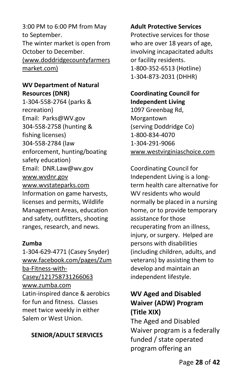3:00 PM to 6:00 PM from May to September. The winter market is open from October to December. (www.doddridgecountyfarmers market.com)

## **WV Department of Natural Resources (DNR)**

1-304-558-2764 (parks & recreation) Email: Parks@WV.gov 304-558-2758 (hunting & fishing licenses) 304-558-2784 (law enforcement, hunting/boating safety education) Email: DNR.Law@wv.gov [www.wvdnr.gov](http://www.wvdnr.gov/) [www.wvstateparks.com](http://www.wvstateparks.com/) Information on game harvests, licenses and permits, Wildlife Management Areas, education and safety, outfitters, shooting ranges, research, and news.

## **Zumba**

1-304-629-4771 (Casey Snyder) [www.facebook.com/pages/Zum](http://www.facebook.com/pages/Zumba-Fitness-with-Casey/121758731266063) [ba-Fitness-with-](http://www.facebook.com/pages/Zumba-Fitness-with-Casey/121758731266063)[Casey/121758731266063](http://www.facebook.com/pages/Zumba-Fitness-with-Casey/121758731266063) [www.zumba.com](http://www.zumba.com/) Latin-inspired dance & aerobics for fun and fitness. Classes meet twice weekly in either Salem or West Union.

## **SENIOR/ADULT SERVICES**

#### **Adult Protective Services**

Protective services for those who are over 18 years of age, involving incapacitated adults or facility residents. 1-800-352-6513 (Hotline) 1-304-873-2031 (DHHR)

## **Coordinating Council for Independent Living**

1097 Greenbag Rd, Morgantown (serving Doddridge Co) 1-800-834-4070 1-304-291-9066 [www.westvirginiaschoice.com](http://www.westvirginiaschoice.com/)

Coordinating Council for Independent Living is a longterm health care alternative for WV residents who would normally be placed in a nursing home, or to provide temporary assistance for those recuperating from an illness, injury, or surgery. Helped are persons with disabilities (including children, adults, and veterans) by assisting them to develop and maintain an independent lifestyle.

# **WV Aged and Disabled Waiver (ADW) Program (Title XIX)**

The Aged and Disabled Waiver program is a federally funded / state operated program offering an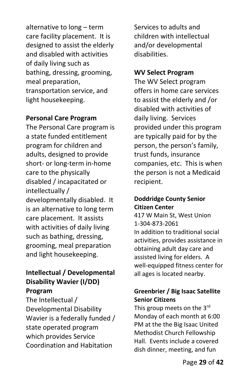alternative to long – term care facility placement. It is designed to assist the elderly and disabled with activities of daily living such as bathing, dressing, grooming, meal preparation, transportation service, and light housekeeping.

## **Personal Care Program**

The Personal Care program is a state funded entitlement program for children and adults, designed to provide short- or long-term in-home care to the physically disabled / incapacitated or intellectually / developmentally disabled. It is an alternative to long term care placement. It assists with activities of daily living such as bathing, dressing, grooming, meal preparation and light housekeeping.

# **Intellectual / Developmental Disability Wavier (I/DD) Program**

The Intellectual / Developmental Disability Wavier is a federally funded / state operated program which provides Service Coordination and Habitation

Services to adults and children with intellectual and/or developmental disabilities.

## **WV Select Program**

The WV Select program offers in home care services to assist the elderly and /or disabled with activities of daily living. Services provided under this program are typically paid for by the person, the person's family, trust funds, insurance companies, etc. This is when the person is not a Medicaid recipient.

## **Doddridge County Senior Citizen Center**

417 W Main St, West Union 1-304-873-2061 In addition to traditional social activities, provides assistance in obtaining adult day care and assisted living for elders. A well-equipped fitness center for all ages is located nearby.

# **Greenbrier / Big Isaac Satellite Senior Citizens**

This group meets on the 3rd Monday of each month at 6:00 PM at the the Big Isaac United Methodist Church Fellowship Hall. Events include a covered dish dinner, meeting, and fun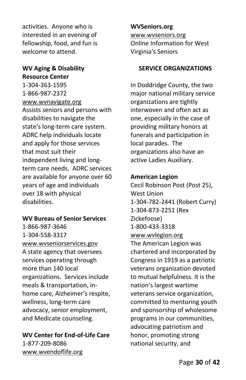activities. Anyone who is interested in an evening of fellowship, food, and fun is welcome to attend.

## **WV Aging & Disability Resource Center**

1-304-363-1595 1-866-987-2372 [www.wvnavigate.org](http://www.wvnavigate.org/) Assists seniors and persons with disabilities to navigate the state's long-term care system. ADRC help individuals locate and apply for those services that most suit their independent living and longterm care needs. ADRC services are available for anyone over 60 years of age and individuals over 18 with physical disabilities.

## **WV Bureau of Senior Services**

1-866-987-3646 1-304-558-3317 [www.wvseniorservices.gov](http://www.wvseniorservices.gov/) A state agency that oversees services operating through more than 140 local organizations. Services include meals & transportation, inhome care, Alzheimer's respite, wellness, long-term care advocacy, senior employment, and Medicate counseling.

**WV Center for End-of-Life Care** 1-877-209-8086 [www.wvendoflife.org](http://www.wvendoflife.org/)

**WVSeniors.org** [www.wvseniors.org](http://www.wvseniors.org/) Online Information for West Virginia's Seniors

## **SERVICE ORGANIZATIONS**

In Doddridge County, the two major national military service organizations are tightly interwoven and often act as one, especially in the case of providing military honors at funerals and participation in local parades. The organizations also have an active Ladies Auxiliary.

#### **American Legion**

Cecil Robinson Post (Post 25), West Union 1-304-782-2441 (Robert Curry) 1-304-873-2251 (Rex Zickefoose) 1-800-433-3318 [www.wvlegion.org](http://www.wvlegion.org/) The American Legion was chartered and incorporated by Congress in 1919 as a patriotic veterans organization devoted to mutual helpfulness. It is the nation's largest wartime veterans service organization, committed to mentoring youth and sponsorship of wholesome programs in our communities, advocating patriotism and honor, promoting strong national security, and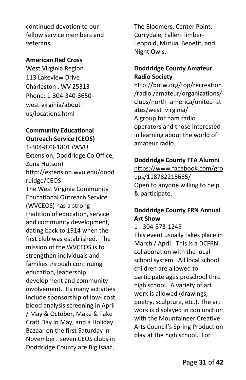continued devotion to our fellow service members and veterans.

## **American Red Cross**

West Virginia Region 113 Lakeview Drive Charleston , WV 25313 Phone: 1-304-340-3650 west-virginia/aboutus/locations.html

## **Community Educational Outreach Service (CEOS)**

1-304-873-1801 (WVU Extension, Doddridge Co Office, Zona Hutson) http://extension.wvu.edu/dodd ruidge/CEOS The West Virginia Community Educational Outreach Service (WVCEOS) has a strong tradition of education, service and community development, dating back to 1914 when the first club was established. The mission of the WVCEOS is to strengthen individuals and families through continuing education, leadership development and community involvement. Its many activities include sponsorship of low- cost blood analysis screening in April / May & October, Make & Take Craft Day in May, and a Holiday Bazaar on the first Saturday in November. seven CEOS clubs in Doddridge County are Big Isaac,

The Bloomers, Center Point, Currydale, Fallen Timber-Leopold, Mutual Benefit, and Night Owls.

## **Doddridge County Amateur Radio Society**

http://botw.org/top/recreation /radio./amateur/organizations/ clubs/north\_america/united\_st ates/west\_virginia/ A group for ham radio operators and those interested in learning about the world of amateur radio.

## **Doddridge County FFA Alumni**

[https://www.facebook.com/gro](https://www.facebook.com/groups/118782215655/) [ups/118782215655/](https://www.facebook.com/groups/118782215655/) Open to anyone willing to help & participate.

# **Doddridge County FRN Annual Art Show**

## 1 - 304-873-1245

This event usually takes place in March / April. This is a DCFRN collaboration with the local school system. All local school children are allowed to participate ages preschool thru high school. A variety of art work is allowed (drawings, poetry, sculpture, etc.). The art work is displayed in conjunction with the Mountaineer Creative Arts Council's Spring Production play at the high school. For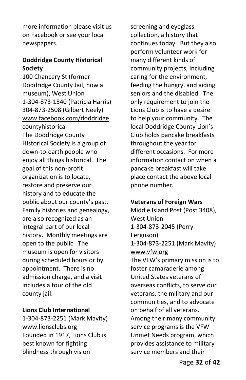more information please visit us on Facebook or see your local newspapers.

## **Doddridge County Historical Society**

100 Chancery St (former Doddridge County Jail, now a museum), West Union 1-304-873-1540 (Patricia Harris) 304-873-2508 (Gilbert Neely) [www.facebook.com/doddridge](http://www.facebook.com/doddridgecountyhistorical) [countyhistorical](http://www.facebook.com/doddridgecountyhistorical) The Doddridge County Historical Society is a group of down-to-earth people who enjoy all things historical. The goal of this non-profit organization is to locate, restore and preserve our history and to educate the public about our county's past. Family histories and genealogy, are also recognized as an integral part of our local history. Monthly meetings are open to the public. The museum is open for visitors during scheduled hours or by appointment. There is no admission charge, and a visit includes a tour of the old county jail.

#### **Lions Club International**

1-304-873-2251 (Mark Mavity) [www.lionsclubs.org](http://www.lionsclubs.org/) Founded in 1917, Lions Club is best known for fighting blindness through vision

screening and eyeglass collection, a history that continues today. But they also perform volunteer work for many different kinds of community projects, including caring for the environment, feeding the hungry, and aiding seniors and the disabled. The only requirement to join the Lions Club is to have a desire to help your community. The local Doddridge County Lion's Club holds pancake breakfasts throughout the year for different occasions. For more information contact on when a pancake breakfast will take place contact the above local phone number.

#### **Veterans of Foreign Wars**

Middle Island Post (Post 3408), West Union 1-304-873-2045 (Perry Ferguson) 1-304-873-2251 (Mark Mavity) [www.vfw.org](http://www.vfw.org/) The VFW's primary mission is to foster camaraderie among United States veterans of overseas conflicts, to serve our veterans, the military and our communities, and to advocate on behalf of all veterans. Among their many community service programs is the VFW Unmet Needs program, which provides assistance to military service members and their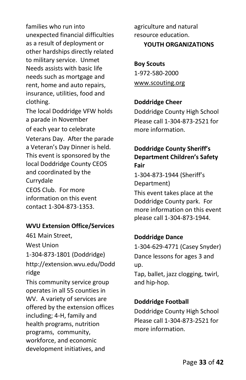families who run into unexpected financial difficulties as a result of deployment or other hardships directly related to military service. Unmet Needs assists with basic life needs such as mortgage and rent, home and auto repairs, insurance, utilities, food and clothing.

The local Doddridge VFW holds a parade in November of each year to celebrate Veterans Day. After the parade a Veteran's Day Dinner is held. This event is sponsored by the local Doddridge County CEOS and coordinated by the Currydale CEOS Club. For more information on this event contact 1-304-873-1353.

## **WVU Extension Office/Services**

461 Main Street, West Union 1-304-873-1801 (Doddridge) http://extension.wvu.edu/Dodd ridge

This community service group operates in all 55 counties in WV. A variety of services are offered by the extension offices including; 4-H, family and health programs, nutrition programs, [community,](http://cewd.ext.wvu.edu/)  [workforce, and economic](http://cewd.ext.wvu.edu/)  [development](http://cewd.ext.wvu.edu/) initiatives, and

[agriculture and natural](http://anr.ext.wvu.edu/)  [resource](http://anr.ext.wvu.edu/) education. **YOUTH ORGANIZATIONS**

**Boy Scouts** 1-972-580-2000 [www.scouting.org](http://www.scouting.org/)

#### **Doddridge Cheer**

Doddridge County High School Please call 1-304-873-2521 for more information.

## **Doddridge County Sheriff's Department Children's Safety Fair**

1-304-873-1944 (Sheriff's Department)

This event takes place at the Doddridge County park. For more information on this event please call 1-304-873-1944.

## **Doddridge Dance**

1-304-629-4771 (Casey Snyder) Dance lessons for ages 3 and up.

Tap, ballet, jazz clogging, twirl, and hip-hop.

#### **Doddridge Football**

Doddridge County High School Please call 1-304-873-2521 for more information.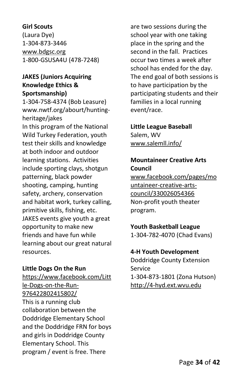## **Girl Scouts**

(Laura Dye) 1-304-873-3446 [www.bdgsc.org](http://www.bdgsc.org/) 1-800-GSUSA4U (478-7248)

## **JAKES (Juniors Acquiring Knowledge Ethics & Sportsmanship)**

1-304-758-4374 (Bob Leasure) www.nwtf.org/abourt/huntingheritage/jakes In this program of the National Wild Turkey Federation, youth test their skills and knowledge at both indoor and outdoor learning stations. Activities include sporting clays, shotgun patterning, black powder shooting, camping, hunting safety, archery, conservation and habitat work, turkey calling, primitive skills, fishing, etc. JAKES events give youth a great opportunity to make new friends and have fun while learning about our great natural resources.

## **Little Dogs On the Run**

https://www.facebook.com/Litt le-Dogs-on-the-Run-976422802415802/ This is a running club collaboration between the Doddridge Elementary School and the Doddridge FRN for boys and girls in Doddridge County Elementary School. This program / event is free. There

are two sessions during the school year with one taking place in the spring and the second in the fall. Practices occur two times a week after school has ended for the day. The end goal of both sessions is to have participation by the participating students and their families in a local running event/race.

## **Little League Baseball**

Salem, WV www.salemll.info/

## **Mountaineer Creative Arts Council**

www.facebook.com/pages/mo untaineer-creative-artscouncil/330026054366 Non-profit youth theater program.

## **Youth Basketball League**

1-304-782-4070 (Chad Evans)

## **4-H Youth Development**

Doddridge County Extension Service 1-304-873-1801 (Zona Hutson) [http://4-hyd.ext.wvu.edu](http://4-hyd.ext.wvu.edu/)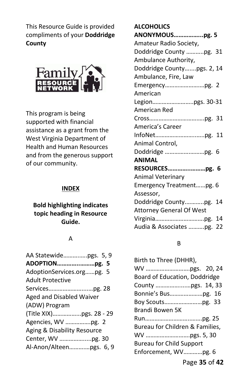This Resource Guide is provided compliments of your **Doddridge County**



This program is being supported with financial assistance as a grant from the West Virginia Department of Health and Human Resources and from the generous support of our community.

#### **INDEX**

## **Bold highlighting indicates topic heading in Resource Guide.**

#### A

| AA Statewidepgs. 5, 9           |  |
|---------------------------------|--|
| ADOPTIONpg. 5                   |  |
| AdoptionServices.orgpg. 5       |  |
| <b>Adult Protective</b>         |  |
|                                 |  |
| <b>Aged and Disabled Waiver</b> |  |
| (ADW) Program                   |  |
|                                 |  |
| Agencies, WV pg. 2              |  |
| Aging & Disability Resource     |  |
| Center, WV pg. 30               |  |
| Al-Anon/Alteenpgs. 6, 9         |  |
|                                 |  |

# **ALCOHOLICS ANONYMOUS……………...pg. 5** Amateur Radio Society, Doddridge County ………..pg. 31 Ambulance Authority, Doddridge County…....pgs. 2, 14 Ambulance, Fire, Law Emergency………………….…pg. 2 American  $L$ egion $\sim$  20-31

| RESOURCESpg. 6            |
|---------------------------|
|                           |
| Emergency Treatmentpg. 6  |
|                           |
| Doddridge Countypg. 14    |
|                           |
|                           |
| Audia & Associates pg. 22 |
|                           |

#### B

| Birth to Three (DHHR),          |
|---------------------------------|
|                                 |
| Board of Education, Doddridge   |
|                                 |
| Bonnie's Buspg. 16              |
|                                 |
| Brandi Bowen 5K                 |
|                                 |
| Bureau for Children & Families, |
|                                 |
| <b>Bureau for Child Support</b> |
| Enforcement, WVpg. 6            |
| Page 35 of 42                   |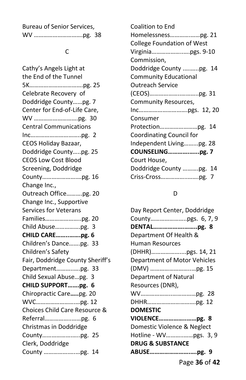| Bureau of Senior Services, |  |
|----------------------------|--|
|                            |  |

#### C

Cathy's Angels Light at the End of the Tunnel 5K…………………………….pg. 25 Celebrate Recovery of Doddridge County……pg. 7 Center for End-of-Life Care, WV ……………………….pg. 30 Central Communications Inc…………………………..pg. 2 CEOS Holiday Bazaar, Doddridge County…..pg. 25 CEOS Low Cost Blood Screening, Doddridge County………………….…pg. 16 Change Inc., Outreach Office……….pg. 20 Change Inc., Supportive Services for Veterans Families…………………..pg. 20 Child Abuse…………….pg. 3 **CHILD CARE……..…….pg. 6** Children's Dance…….pg. 33 Children's Safety Fair, Doddridge County Sheriff's Department………..….pg. 33 Child Sexual Abuse…pg. 3 **CHILD SUPPORT…….pg. 6** Chiropractic Care**…..**pg. 20 WVC…………………….…pg. 12 Choices Child Care Resource & Referral……………..……pg. 6 Christmas in Doddridge County……………….…..pg. 25 Clerk, Doddridge County …………….….…pg. 14

| Coalition to End                  |
|-----------------------------------|
|                                   |
| <b>College Foundation of West</b> |
|                                   |
| Commission,                       |
| Doddridge County pg. 14           |
| <b>Community Educational</b>      |
| <b>Outreach Service</b>           |
|                                   |
| Community Resources,              |
|                                   |
| Consumer                          |
|                                   |
| Coordinating Council for          |
| Independent Livingpg. 28          |
| COUNSELINGpg. 7                   |
| Court House,                      |
| Doddridge County pg. 14           |
|                                   |

## D

| Day Report Center, Doddridge |
|------------------------------|
|                              |
| DENTALpg. 8                  |
| Department Of Health &       |
| Human Resources              |
|                              |
| Department of Motor Vehicles |
|                              |
| Department of Natural        |
| Resources (DNR),             |
|                              |
|                              |
| <b>DOMESTIC</b>              |
|                              |
| Domestic Violence & Neglect  |
|                              |
| <b>DRUG &amp; SUBSTANCE</b>  |
| ABUSEpg. 9                   |
|                              |

Page **36** of **42**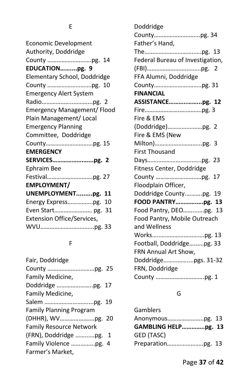# E

| <b>Economic Development</b>        |
|------------------------------------|
| Authority, Doddridge               |
|                                    |
| EDUCATIONpg. 9                     |
| Elementary School, Doddridge       |
|                                    |
| <b>Emergency Alert System</b>      |
|                                    |
| <b>Emergency Management/ Flood</b> |
| Plain Management/ Local            |
| <b>Emergency Planning</b>          |
| Committee, Doddridge               |
|                                    |
| <b>EMERGENCY</b>                   |
| SERVICESpg. 2                      |
| <b>Ephraim Bee</b>                 |
|                                    |
| <b>EMPLOYMENT/</b>                 |
| UNEMPLOYMENTpg.<br>11              |
| Energy Expresspg.<br>10            |
| Even Start pg. 31                  |
| <b>Extension Office/Services,</b>  |
|                                    |
|                                    |

# F

| (FRN), Doddridge pg. 1 |
|------------------------|
|                        |
|                        |
|                        |

| Doddridge                        |  |
|----------------------------------|--|
|                                  |  |
| Father's Hand,                   |  |
|                                  |  |
| Federal Bureau of Investigation, |  |
|                                  |  |
| FFA Alumni, Doddridge            |  |
|                                  |  |
| <b>FINANCIAL</b>                 |  |
| ASSISTANCEpg. 12                 |  |
|                                  |  |
| Fire & EMS                       |  |
| (Doddridge)pg. 2                 |  |
| Fire & EMS (New                  |  |
|                                  |  |
| <b>First Thousand</b>            |  |
|                                  |  |
| Fitness Center, Doddridge        |  |
|                                  |  |
| Floodplain Officer,              |  |
| Doddridge Countypg. 19           |  |
| FOOD PANTRYpg. 13                |  |
| Food Pantry, DEOpg. 13           |  |
| Food Pantry, Mobile Outreach     |  |
| and Wellness                     |  |
|                                  |  |
| Football, Doddridgepg. 33        |  |
| FRN Annual Art Show,             |  |
| Doddridgepgs. 31-32              |  |
| FRN, Doddridge                   |  |
|                                  |  |

# G

| Gamblers            |  |
|---------------------|--|
| Anonymouspg. 13     |  |
| GAMBLING HELPpg. 13 |  |
| GED (TASC)          |  |
|                     |  |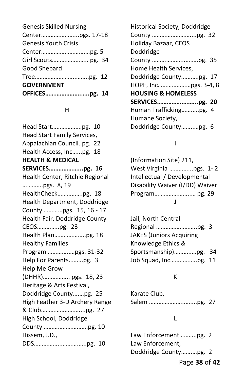| <b>Genesis Skilled Nursing</b> |  |
|--------------------------------|--|
|                                |  |
| <b>Genesis Youth Crisis</b>    |  |
|                                |  |
|                                |  |
| <b>Good Shepard</b>            |  |
|                                |  |
| <b>GOVERNMENT</b>              |  |
|                                |  |
|                                |  |

#### H

Head Start……………….pg. 10 Head Start Family Services, Appalachian Council..pg. 22 Health Access, Inc…...pg. 18 **HEALTH & MEDICAL SERVICES………………...pg. 16** Health Center, Ritchie Regional ………….pgs. 8, 19 HealthCheck…………….pg. 18 Health Department, Doddridge County …………pgs. 15, 16 - 17 Health Fair, Doddridge County CEOS…………..pg. 23 Health Plan………………..pg. 18 Healthy Families Program …………..…pgs. 31-32 Help For Parents..…….pg. 3 Help Me Grow (DHHR)…………….. pgs. 18, 23 Heritage & Arts Festival, Doddridge County….…pg. 25 High Feather 3-D Archery Range & Club……………………....pg. 27 High School, Doddridge County ……………………….pg. 10 Hissem, J.D., DDS……………...……….…..pg. 10

| <b>Historical Society, Doddridge</b> |  |
|--------------------------------------|--|
|                                      |  |
| Holiday Bazaar, CEOS                 |  |
| Doddridge                            |  |
|                                      |  |
| Home Health Services,                |  |
| Doddridge Countypg. 17               |  |
|                                      |  |
| <b>HOUSING &amp; HOMELESS</b>        |  |
| SERVICESpg. 20                       |  |
| Human Traffickingpg. 4               |  |
| Humane Society,                      |  |
| Doddridge Countypg. 6                |  |
|                                      |  |

## I

| (Information Site) 211,         |
|---------------------------------|
| West Virginia pgs. 1-2          |
| Intellectual / Developmental    |
| Disability Waiver (I/DD) Waiver |
|                                 |
|                                 |

| Jail, North Central             |  |
|---------------------------------|--|
|                                 |  |
| <b>JAKES (Juniors Acquiring</b> |  |
| Knowledge Ethics &              |  |
| Sportsmanship)pg. 34            |  |
| Job Squad, Incpg. 11            |  |

## K

| Karate Club, |  |
|--------------|--|
|              |  |

## L

| Law Enforcementpg. 2  |  |
|-----------------------|--|
| Law Enforcement,      |  |
| Doddridge Countypg. 2 |  |

Page **38** of **42**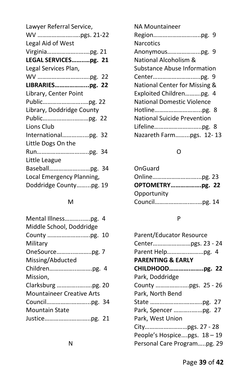## M

| Mental Illnesspg. 4              |  |
|----------------------------------|--|
| Middle School, Doddridge         |  |
|                                  |  |
| Military                         |  |
|                                  |  |
| Missing/Abducted                 |  |
|                                  |  |
| Mission.                         |  |
|                                  |  |
| <b>Mountaineer Creative Arts</b> |  |
|                                  |  |
| Mountain State                   |  |
|                                  |  |
|                                  |  |

| <b>NA Mountaineer</b>              |
|------------------------------------|
|                                    |
| <b>Narcotics</b>                   |
| Anonymouspg. 9                     |
| National Alcoholism &              |
| Substance Abuse Information        |
|                                    |
| National Center for Missing &      |
| Exploited Childrenpg. 4            |
| <b>National Domestic Violence</b>  |
|                                    |
| <b>National Suicide Prevention</b> |
|                                    |
| Nazareth Farmpgs. 12-13            |

# O

| OnGuard         |  |
|-----------------|--|
|                 |  |
| OPTOMETRYpg. 22 |  |
| Opportunity     |  |
|                 |  |

# P

| Parent/Educator Resource     |  |
|------------------------------|--|
|                              |  |
|                              |  |
| <b>PARENTING &amp; EARLY</b> |  |
| CHILDHOODpg. 22              |  |
| Park, Doddridge              |  |
|                              |  |
| Park, North Bend             |  |
|                              |  |
| Park, Spencer pg. 27         |  |
| Park, West Union             |  |
|                              |  |
| People's Hospicepgs. 18 - 19 |  |
| Personal Care Programpg. 29  |  |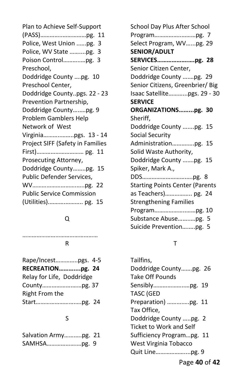Plan to Achieve Self-Support (PASS)…………..……………pg. 11 Police, West Union ..….pg. 3 Police, WV State ……....pg. 3 Poison Control………..…pg. 3 Preschool, Doddridge County ….pg. 10 Preschool Center, Doddridge County..pgs. 22 - 23 Prevention Partnership, Doddridge County…..…pg. 9 Problem Gamblers Help Network of West Virginia………..……..pgs. 13 - 14 Project SIFF (Safety in Families First)………………………… pg. 11 Prosecuting Attorney, Doddridge County……..pg. 15 Public Defender Services, WV……………………….…..pg. 22 Public Service Commission (Utilities).……….……….. pg. 15

## Q

…………………………………

#### R

| Rape/Incestpgs. 4-5       |  |
|---------------------------|--|
| RECREATIONpg. 24          |  |
| Relay for Life, Doddridge |  |
|                           |  |
| Right From the            |  |
|                           |  |

## S

| Salvation Armypg. 21 |  |
|----------------------|--|
|                      |  |

School Day Plus After School Program……………..………pg. 7 Select Program, WV…...pg. 29 **SENIOR/ADULT SERVICES……………….….pg. 28** Senior Citizen Center, Doddridge County ….…pg. 29 Senior Citizens, Greenbrier/ Big Isaac Satellite………...pgs. 29 - 30 **SERVICE ORGANIZATIONS……...pg. 30** Sheriff, Doddridge County …....pg. 15 Social Security Administration……….….pg. 15 Solid Waste Authority, Doddridge County …….pg. 15 Spiker, Mark A., DDS……………………….….pg. 8 Starting Points Center (Parents as Teachers)…………….. pg. 24 Strengthening Families Program………………..……pg. 10 Substance Abuse……..…pg. 5 Suicide Prevention….….pg. 5

## T

Tailfins, Doddridge County…….pg. 26 Take Off Pounds Sensibly………………..…pg. 19 TASC (GED Preparation) ……….….pg. 11 Tax Office, Doddridge County …..pg. 2 Ticket to Work and Self Sufficiency Program…pg. 11 West Virginia Tobacco Quit Line………………....pg. 9

Page **40** of **42**